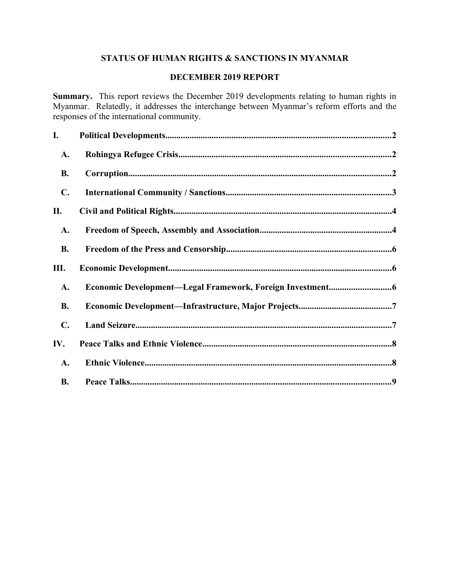# **STATUS OF HUMAN RIGHTS & SANCTIONS IN MYANMAR**

## **DECEMBER 2019 REPORT**

**Summary.** This report reviews the December 2019 developments relating to human rights in Myanmar. Relatedly, it addresses the interchange between Myanmar's reform efforts and the responses of the international community.

| I.             |  |
|----------------|--|
| A.             |  |
| <b>B.</b>      |  |
| $\mathbf{C}$ . |  |
| П.             |  |
| A.             |  |
| <b>B.</b>      |  |
| Ш.             |  |
| A.             |  |
| <b>B.</b>      |  |
| $\mathbf{C}$ . |  |
| IV.            |  |
| A.             |  |
| <b>B.</b>      |  |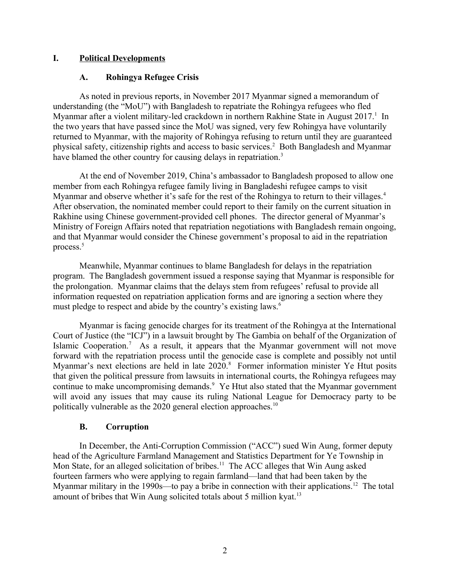### **I. Political Developments**

### <span id="page-1-2"></span><span id="page-1-0"></span>**A. Rohingya Refugee Crisis**

As noted in previous reports, in November 2017 Myanmar signed a memorandum of understanding (the "MoU") with Bangladesh to repatriate the Rohingya refugees who fled Myanmar after a violent military-led crackdown in northern Rakhine State in August 2017.<sup>1</sup> In the two years that have passed since the MoU was signed, very few Rohingya have voluntarily returned to Myanmar, with the majority of Rohingya refusing to return until they are guaranteed physical safety, citizenship rights and access to basic services.<sup>2</sup> Both Bangladesh and Myanmar have blamed the other country for causing delays in repatriation.<sup>3</sup>

At the end of November 2019, China's ambassador to Bangladesh proposed to allow one member from each Rohingya refugee family living in Bangladeshi refugee camps to visit Myanmar and observe whether it's safe for the rest of the Rohingya to return to their villages.<sup>4</sup> After observation, the nominated member could report to their family on the current situation in Rakhine using Chinese government-provided cell phones. The director general of Myanmar's Ministry of Foreign Affairs noted that repatriation negotiations with Bangladesh remain ongoing, and that Myanmar would consider the Chinese government's proposal to aid in the repatriation process.<sup>5</sup>

Meanwhile, Myanmar continues to blame Bangladesh for delays in the repatriation program. The Bangladesh government issued a response saying that Myanmar is responsible for the prolongation. Myanmar claims that the delays stem from refugees' refusal to provide all information requested on repatriation application forms and are ignoring a section where they must pledge to respect and abide by the country's existing laws.<sup>6</sup>

Myanmar is facing genocide charges for its treatment of the Rohingya at the International Court of Justice (the "ICJ") in a lawsuit brought by The Gambia on behalf of the Organization of Islamic Cooperation.<sup>7</sup> As a result, it appears that the Myanmar government will not move forward with the repatriation process until the genocide case is complete and possibly not until Myanmar's next elections are held in late 2020.<sup>8</sup> Former information minister Ye Htut posits that given the political pressure from lawsuits in international courts, the Rohingya refugees may continue to make uncompromising demands.<sup>9</sup> Ye Htut also stated that the Myanmar government will avoid any issues that may cause its ruling National League for Democracy party to be politically vulnerable as the 2020 general election approaches.<sup>10</sup>

### <span id="page-1-1"></span>**B. Corruption**

In December, the Anti-Corruption Commission ("ACC") sued Win Aung, former deputy head of the Agriculture Farmland Management and Statistics Department for Ye Township in Mon State, for an alleged solicitation of bribes.<sup>11</sup> The ACC alleges that Win Aung asked fourteen farmers who were applying to regain farmland—land that had been taken by the Myanmar military in the 1990s—to pay a bribe in connection with their applications.<sup>12</sup> The total amount of bribes that Win Aung solicited totals about 5 million kyat.<sup>13</sup>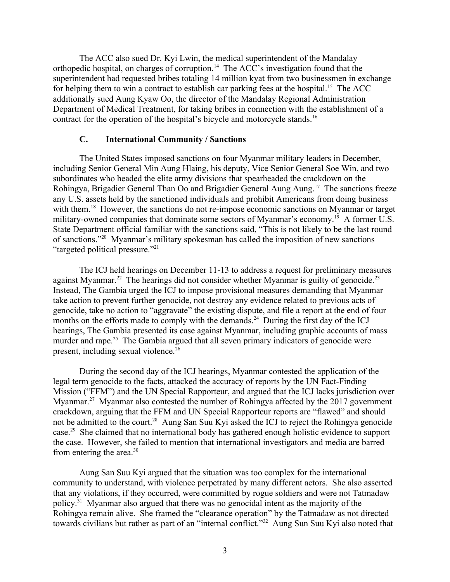The ACC also sued Dr. Kyi Lwin, the medical superintendent of the Mandalay orthopedic hospital, on charges of corruption.<sup>14</sup> The ACC's investigation found that the superintendent had requested bribes totaling 14 million kyat from two businessmen in exchange for helping them to win a contract to establish car parking fees at the hospital.<sup>15</sup> The ACC additionally sued Aung Kyaw Oo, the director of the Mandalay Regional Administration Department of Medical Treatment, for taking bribes in connection with the establishment of a contract for the operation of the hospital's bicycle and motorcycle stands.<sup>16</sup>

### <span id="page-2-0"></span>**C. International Community / Sanctions**

The United States imposed sanctions on four Myanmar military leaders in December, including Senior General Min Aung Hlaing, his deputy, Vice Senior General Soe Win, and two subordinates who headed the elite army divisions that spearheaded the crackdown on the Rohingya, Brigadier General Than Oo and Brigadier General Aung Aung.<sup>17</sup> The sanctions freeze any U.S. assets held by the sanctioned individuals and prohibit Americans from doing business with them.<sup>18</sup> However, the sanctions do not re-impose economic sanctions on Myanmar or target military-owned companies that dominate some sectors of Myanmar's economy.<sup>19</sup> A former U.S. State Department official familiar with the sanctions said, "This is not likely to be the last round of sanctions."<sup>20</sup> Myanmar's military spokesman has called the imposition of new sanctions "targeted political pressure."<sup>21</sup>

The ICJ held hearings on December 11-13 to address a request for preliminary measures against Myanmar.<sup>22</sup> The hearings did not consider whether Myanmar is guilty of genocide.<sup>23</sup> Instead, The Gambia urged the ICJ to impose provisional measures demanding that Myanmar take action to prevent further genocide, not destroy any evidence related to previous acts of genocide, take no action to "aggravate" the existing dispute, and file a report at the end of four months on the efforts made to comply with the demands.<sup>24</sup> During the first day of the ICJ hearings, The Gambia presented its case against Myanmar, including graphic accounts of mass murder and rape.<sup>25</sup> The Gambia argued that all seven primary indicators of genocide were present, including sexual violence.<sup>26</sup>

During the second day of the ICJ hearings, Myanmar contested the application of the legal term genocide to the facts, attacked the accuracy of reports by the UN Fact-Finding Mission ("FFM") and the UN Special Rapporteur, and argued that the ICJ lacks jurisdiction over Myanmar.<sup>27</sup> Myanmar also contested the number of Rohingya affected by the 2017 government crackdown, arguing that the FFM and UN Special Rapporteur reports are "flawed" and should not be admitted to the court.<sup>28</sup> Aung San Suu Kyi asked the ICJ to reject the Rohingya genocide case.<sup>29</sup> She claimed that no international body has gathered enough holistic evidence to support the case. However, she failed to mention that international investigators and media are barred from entering the area. $30$ 

Aung San Suu Kyi argued that the situation was too complex for the international community to understand, with violence perpetrated by many different actors. She also asserted that any violations, if they occurred, were committed by rogue soldiers and were not Tatmadaw policy.<sup>31</sup> Myanmar also argued that there was no genocidal intent as the majority of the Rohingya remain alive. She framed the "clearance operation" by the Tatmadaw as not directed towards civilians but rather as part of an "internal conflict."<sup>32</sup> Aung Sun Suu Kyi also noted that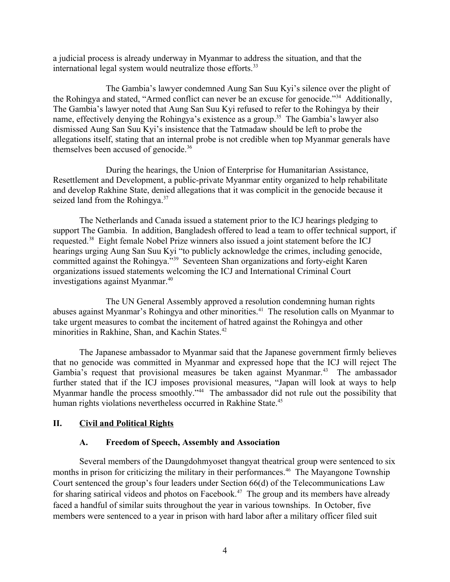a judicial process is already underway in Myanmar to address the situation, and that the international legal system would neutralize those efforts.<sup>33</sup>

The Gambia's lawyer condemned Aung San Suu Kyi's silence over the plight of the Rohingya and stated, "Armed conflict can never be an excuse for genocide."<sup>34</sup> Additionally, The Gambia's lawyer noted that Aung San Suu Kyi refused to refer to the Rohingya by their name, effectively denying the Rohingya's existence as a group.<sup>35</sup> The Gambia's lawyer also dismissed Aung San Suu Kyi's insistence that the Tatmadaw should be left to probe the allegations itself, stating that an internal probe is not credible when top Myanmar generals have themselves been accused of genocide.<sup>36</sup>

During the hearings, the Union of Enterprise for Humanitarian Assistance, Resettlement and Development, a public-private Myanmar entity organized to help rehabilitate and develop Rakhine State, denied allegations that it was complicit in the genocide because it seized land from the Rohingya.<sup>37</sup>

The Netherlands and Canada issued a statement prior to the ICJ hearings pledging to support The Gambia. In addition, Bangladesh offered to lead a team to offer technical support, if requested.<sup>38</sup> Eight female Nobel Prize winners also issued a joint statement before the ICJ hearings urging Aung San Suu Kyi "to publicly acknowledge the crimes, including genocide, committed against the Rohingya."<sup>39</sup> Seventeen Shan organizations and forty-eight Karen organizations issued statements welcoming the ICJ and International Criminal Court investigations against Myanmar.<sup>40</sup>

The UN General Assembly approved a resolution condemning human rights abuses against Myanmar's Rohingya and other minorities.<sup>41</sup> The resolution calls on Myanmar to take urgent measures to combat the incitement of hatred against the Rohingya and other minorities in Rakhine, Shan, and Kachin States.<sup>42</sup>

The Japanese ambassador to Myanmar said that the Japanese government firmly believes that no genocide was committed in Myanmar and expressed hope that the ICJ will reject The Gambia's request that provisional measures be taken against Myanmar.<sup>43</sup> The ambassador further stated that if the ICJ imposes provisional measures, "Japan will look at ways to help Myanmar handle the process smoothly.<sup>744</sup> The ambassador did not rule out the possibility that human rights violations nevertheless occurred in Rakhine State.<sup>45</sup>

### **II. Civil and Political Rights**

#### <span id="page-3-1"></span><span id="page-3-0"></span>**A. Freedom of Speech, Assembly and Association**

Several members of the Daungdohmyoset thangyat theatrical group were sentenced to six months in prison for criticizing the military in their performances.<sup>46</sup> The Mayangone Township Court sentenced the group's four leaders under Section 66(d) of the Telecommunications Law for sharing satirical videos and photos on Facebook.<sup>47</sup> The group and its members have already faced a handful of similar suits throughout the year in various townships. In October, five members were sentenced to a year in prison with hard labor after a military officer filed suit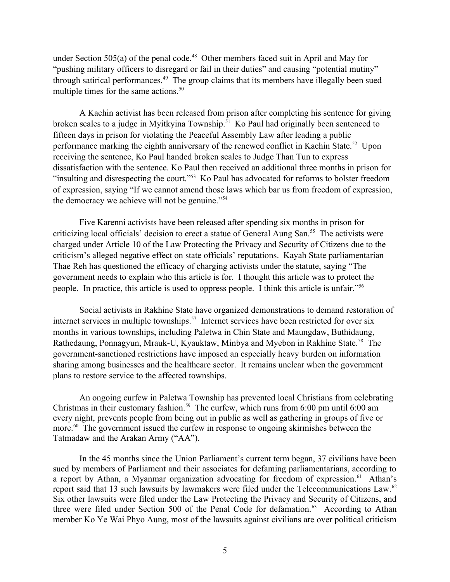under Section  $505(a)$  of the penal code.<sup>48</sup> Other members faced suit in April and May for "pushing military officers to disregard or fail in their duties" and causing "potential mutiny" through satirical performances.<sup>49</sup> The group claims that its members have illegally been sued multiple times for the same actions.<sup>50</sup>

A Kachin activist has been released from prison after completing his sentence for giving broken scales to a judge in Myitkyina Township.<sup>51</sup> Ko Paul had originally been sentenced to fifteen days in prison for violating the Peaceful Assembly Law after leading a public performance marking the eighth anniversary of the renewed conflict in Kachin State.<sup>52</sup> Upon receiving the sentence, Ko Paul handed broken scales to Judge Than Tun to express dissatisfaction with the sentence. Ko Paul then received an additional three months in prison for "insulting and disrespecting the court."<sup>53</sup> Ko Paul has advocated for reforms to bolster freedom of expression, saying "If we cannot amend those laws which bar us from freedom of expression, the democracy we achieve will not be genuine."<sup>54</sup>

Five Karenni activists have been released after spending six months in prison for criticizing local officials' decision to erect a statue of General Aung San.<sup>55</sup> The activists were charged under Article 10 of the Law Protecting the Privacy and Security of Citizens due to the criticism's alleged negative effect on state officials' reputations. Kayah State parliamentarian Thae Reh has questioned the efficacy of charging activists under the statute, saying "The government needs to explain who this article is for. I thought this article was to protect the people. In practice, this article is used to oppress people. I think this article is unfair."<sup>56</sup>

Social activists in Rakhine State have organized demonstrations to demand restoration of internet services in multiple townships.<sup>57</sup> Internet services have been restricted for over six months in various townships, including Paletwa in Chin State and Maungdaw, Buthidaung, Rathedaung, Ponnagyun, Mrauk-U, Kyauktaw, Minbya and Myebon in Rakhine State.<sup>58</sup> The government-sanctioned restrictions have imposed an especially heavy burden on information sharing among businesses and the healthcare sector. It remains unclear when the government plans to restore service to the affected townships.

An ongoing curfew in Paletwa Township has prevented local Christians from celebrating Christmas in their customary fashion.<sup>59</sup> The curfew, which runs from 6:00 pm until 6:00 am every night, prevents people from being out in public as well as gathering in groups of five or more.<sup>60</sup> The government issued the curfew in response to ongoing skirmishes between the Tatmadaw and the Arakan Army ("AA").

In the 45 months since the Union Parliament's current term began, 37 civilians have been sued by members of Parliament and their associates for defaming parliamentarians, according to a report by Athan, a Myanmar organization advocating for freedom of expression.<sup>61</sup> Athan's report said that 13 such lawsuits by lawmakers were filed under the Telecommunications Law.<sup>62</sup> Six other lawsuits were filed under the Law Protecting the Privacy and Security of Citizens, and three were filed under Section 500 of the Penal Code for defamation.<sup>63</sup> According to Athan member Ko Ye Wai Phyo Aung, most of the lawsuits against civilians are over political criticism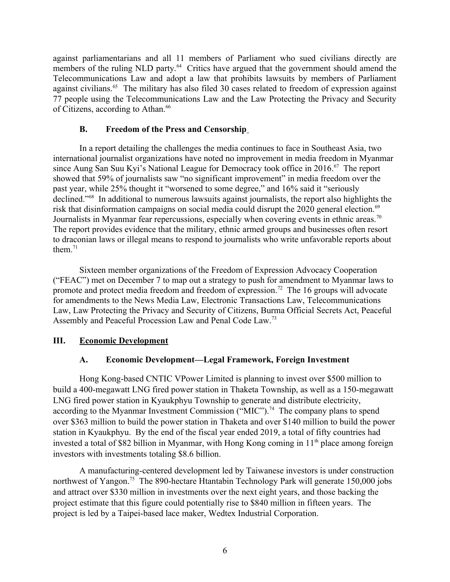against parliamentarians and all 11 members of Parliament who sued civilians directly are members of the ruling NLD party. $64$  Critics have argued that the government should amend the Telecommunications Law and adopt a law that prohibits lawsuits by members of Parliament against civilians.<sup>65</sup> The military has also filed 30 cases related to freedom of expression against 77 people using the Telecommunications Law and the Law Protecting the Privacy and Security of Citizens, according to Athan.<sup>66</sup>

## <span id="page-5-2"></span>**B. Freedom of the Press and Censorship**

In a report detailing the challenges the media continues to face in Southeast Asia, two international journalist organizations have noted no improvement in media freedom in Myanmar since Aung San Suu Kyi's National League for Democracy took office in  $2016$ .<sup>67</sup> The report showed that 59% of journalists saw "no significant improvement" in media freedom over the past year, while 25% thought it "worsened to some degree," and 16% said it "seriously declined."<sup>68</sup> In additional to numerous lawsuits against journalists, the report also highlights the risk that disinformation campaigns on social media could disrupt the 2020 general election.<sup>69</sup> Journalists in Myanmar fear repercussions, especially when covering events in ethnic areas.<sup>70</sup> The report provides evidence that the military, ethnic armed groups and businesses often resort to draconian laws or illegal means to respond to journalists who write unfavorable reports about them $11$ 

Sixteen member organizations of the Freedom of Expression Advocacy Cooperation ("FEAC") met on December 7 to map out a strategy to push for amendment to Myanmar laws to promote and protect media freedom and freedom of expression.<sup>72</sup> The 16 groups will advocate for amendments to the News Media Law, Electronic Transactions Law, Telecommunications Law, Law Protecting the Privacy and Security of Citizens, Burma Official Secrets Act, Peaceful Assembly and Peaceful Procession Law and Penal Code Law.<sup>73</sup>

# **III. Economic Development**

## <span id="page-5-1"></span><span id="page-5-0"></span>**A. Economic Development—Legal Framework, Foreign Investment**

Hong Kong-based CNTIC VPower Limited is planning to invest over \$500 million to build a 400-megawatt LNG fired power station in Thaketa Township, as well as a 150-megawatt LNG fired power station in Kyaukphyu Township to generate and distribute electricity, according to the Myanmar Investment Commission ("MIC").<sup>74</sup> The company plans to spend over \$363 million to build the power station in Thaketa and over \$140 million to build the power station in Kyaukphyu. By the end of the fiscal year ended 2019, a total of fifty countries had invested a total of \$82 billion in Myanmar, with Hong Kong coming in  $11<sup>th</sup>$  place among foreign investors with investments totaling \$8.6 billion.

A manufacturing-centered development led by Taiwanese investors is under construction northwest of Yangon.<sup>75</sup> The 890-hectare Htantabin Technology Park will generate 150,000 jobs and attract over \$330 million in investments over the next eight years, and those backing the project estimate that this figure could potentially rise to \$840 million in fifteen years. The project is led by a Taipei-based lace maker, Wedtex Industrial Corporation.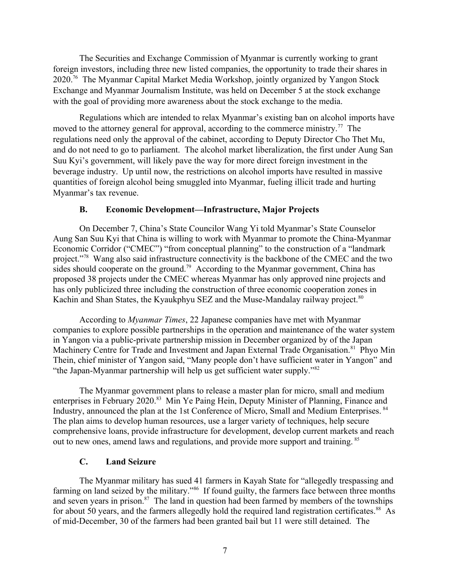The Securities and Exchange Commission of Myanmar is currently working to grant foreign investors, including three new listed companies, the opportunity to trade their shares in 2020.<sup>76</sup> The Myanmar Capital Market Media Workshop, jointly organized by Yangon Stock Exchange and Myanmar Journalism Institute, was held on December 5 at the stock exchange with the goal of providing more awareness about the stock exchange to the media.

Regulations which are intended to relax Myanmar's existing ban on alcohol imports have moved to the attorney general for approval, according to the commerce ministry.<sup>77</sup> The regulations need only the approval of the cabinet, according to Deputy Director Cho Thet Mu, and do not need to go to parliament. The alcohol market liberalization, the first under Aung San Suu Kyi's government, will likely pave the way for more direct foreign investment in the beverage industry. Up until now, the restrictions on alcohol imports have resulted in massive quantities of foreign alcohol being smuggled into Myanmar, fueling illicit trade and hurting Myanmar's tax revenue.

### <span id="page-6-1"></span>**B. Economic Development—Infrastructure, Major Projects**

On December 7, China's State Councilor Wang Yi told Myanmar's State Counselor Aung San Suu Kyi that China is willing to work with Myanmar to promote the China-Myanmar Economic Corridor ("CMEC") "from conceptual planning" to the construction of a "landmark project."<sup>78</sup> Wang also said infrastructure connectivity is the backbone of the CMEC and the two sides should cooperate on the ground.<sup>79</sup> According to the Myanmar government, China has proposed 38 projects under the CMEC whereas Myanmar has only approved nine projects and has only publicized three including the construction of three economic cooperation zones in Kachin and Shan States, the Kyaukphyu SEZ and the Muse-Mandalay railway project.<sup>80</sup>

According to *Myanmar Times*, 22 Japanese companies have met with Myanmar companies to explore possible partnerships in the operation and maintenance of the water system in Yangon via a public-private partnership mission in December organized by of the Japan Machinery Centre for Trade and Investment and Japan External Trade Organisation.<sup>81</sup> Phyo Min Thein, chief minister of Yangon said, "Many people don't have sufficient water in Yangon" and "the Japan-Myanmar partnership will help us get sufficient water supply."<sup>82</sup>

The Myanmar government plans to release a master plan for micro, small and medium enterprises in February 2020.<sup>83</sup> Min Ye Paing Hein, Deputy Minister of Planning, Finance and Industry, announced the plan at the 1st Conference of Micro, Small and Medium Enterprises. <sup>84</sup> The plan aims to develop human resources, use a larger variety of techniques, help secure comprehensive loans, provide infrastructure for development, develop current markets and reach out to new ones, amend laws and regulations, and provide more support and training. <sup>85</sup>

### <span id="page-6-0"></span>**C. Land Seizure**

The Myanmar military has sued 41 farmers in Kayah State for "allegedly trespassing and farming on land seized by the military."<sup>86</sup> If found guilty, the farmers face between three months and seven years in prison. $87$  The land in question had been farmed by members of the townships for about 50 years, and the farmers allegedly hold the required land registration certificates.<sup>88</sup> As of mid-December, 30 of the farmers had been granted bail but 11 were still detained. The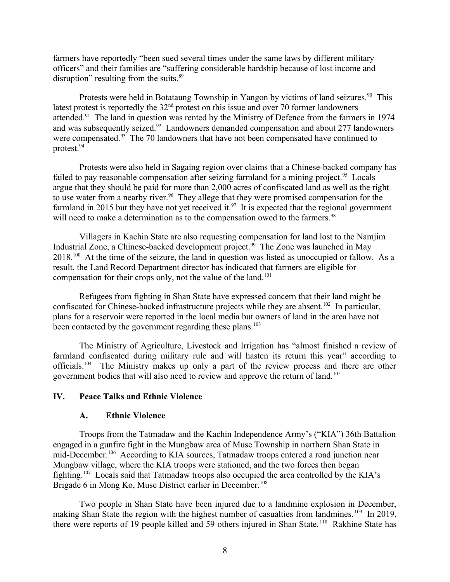farmers have reportedly "been sued several times under the same laws by different military officers" and their families are "suffering considerable hardship because of lost income and disruption" resulting from the suits.<sup>89</sup>

Protests were held in Botataung Township in Yangon by victims of land seizures.<sup>90</sup> This latest protest is reportedly the 32nd protest on this issue and over 70 former landowners attended.<sup>91</sup> The land in question was rented by the Ministry of Defence from the farmers in 1974 and was subsequently seized.<sup>92</sup> Landowners demanded compensation and about 277 landowners were compensated.<sup>93</sup> The 70 landowners that have not been compensated have continued to protest.<sup>94</sup>

Protests were also held in Sagaing region over claims that a Chinese-backed company has failed to pay reasonable compensation after seizing farmland for a mining project.<sup>95</sup> Locals argue that they should be paid for more than 2,000 acres of confiscated land as well as the right to use water from a nearby river.<sup>96</sup> They allege that they were promised compensation for the farmland in 2015 but they have not yet received it.<sup>97</sup> It is expected that the regional government will need to make a determination as to the compensation owed to the farmers.<sup>98</sup>

Villagers in Kachin State are also requesting compensation for land lost to the Namjim Industrial Zone, a Chinese-backed development project.<sup>99</sup> The Zone was launched in May 2018.<sup>100</sup> At the time of the seizure, the land in question was listed as unoccupied or fallow. As a result, the Land Record Department director has indicated that farmers are eligible for compensation for their crops only, not the value of the land.<sup>101</sup>

Refugees from fighting in Shan State have expressed concern that their land might be confiscated for Chinese-backed infrastructure projects while they are absent.<sup>102</sup> In particular, plans for a reservoir were reported in the local media but owners of land in the area have not been contacted by the government regarding these plans.<sup>103</sup>

The Ministry of Agriculture, Livestock and Irrigation has "almost finished a review of farmland confiscated during military rule and will hasten its return this year" according to officials.<sup>104</sup> The Ministry makes up only a part of the review process and there are other government bodies that will also need to review and approve the return of land.<sup>105</sup>

### **IV. Peace Talks and Ethnic Violence**

#### <span id="page-7-1"></span><span id="page-7-0"></span>**A. Ethnic Violence**

Troops from the Tatmadaw and the Kachin Independence Army's ("KIA") 36th Battalion engaged in a gunfire fight in the Mungbaw area of Muse Township in northern Shan State in mid-December.<sup>106</sup> According to KIA sources, Tatmadaw troops entered a road junction near Mungbaw village, where the KIA troops were stationed, and the two forces then began fighting.<sup>107</sup> Locals said that Tatmadaw troops also occupied the area controlled by the KIA's Brigade 6 in Mong Ko, Muse District earlier in December.<sup>108</sup>

Two people in Shan State have been injured due to a landmine explosion in December, making Shan State the region with the highest number of casualties from landmines.<sup>109</sup> In 2019, there were reports of 19 people killed and 59 others injured in Shan State. <sup>110</sup> Rakhine State has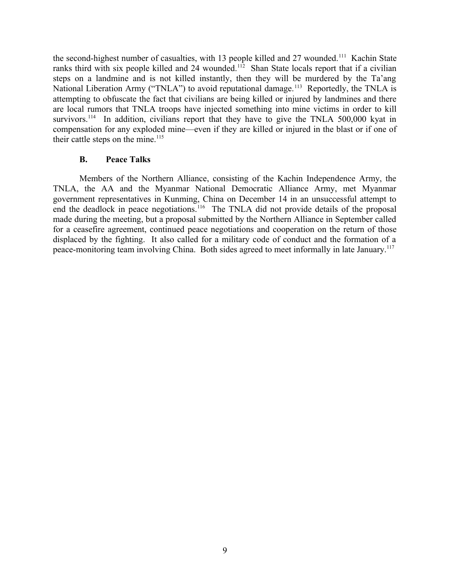the second-highest number of casualties, with 13 people killed and 27 wounded.<sup>111</sup> Kachin State ranks third with six people killed and 24 wounded.<sup>112</sup> Shan State locals report that if a civilian steps on a landmine and is not killed instantly, then they will be murdered by the Ta'ang National Liberation Army ("TNLA") to avoid reputational damage.<sup>113</sup> Reportedly, the TNLA is attempting to obfuscate the fact that civilians are being killed or injured by landmines and there are local rumors that TNLA troops have injected something into mine victims in order to kill survivors.<sup>114</sup> In addition, civilians report that they have to give the TNLA 500,000 kyat in compensation for any exploded mine—even if they are killed or injured in the blast or if one of their cattle steps on the mine.<sup>115</sup>

### <span id="page-8-0"></span>**B. Peace Talks**

Members of the Northern Alliance, consisting of the Kachin Independence Army, the TNLA, the AA and the Myanmar National Democratic Alliance Army, met Myanmar government representatives in Kunming, China on December 14 in an unsuccessful attempt to end the deadlock in peace negotiations.<sup>116</sup> The TNLA did not provide details of the proposal made during the meeting, but a proposal submitted by the Northern Alliance in September called for a ceasefire agreement, continued peace negotiations and cooperation on the return of those displaced by the fighting. It also called for a military code of conduct and the formation of a peace-monitoring team involving China. Both sides agreed to meet informally in late January.<sup>117</sup>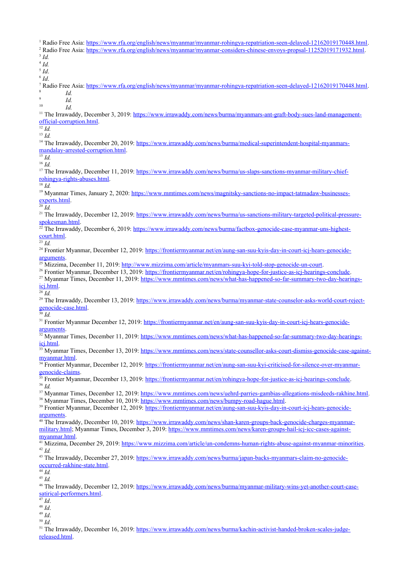<sup>1</sup> Radio Free Asia: <https://www.rfa.org/english/news/myanmar/myanmar-rohingya-repatriation-seen-delayed-12162019170448.html>. <sup>2</sup> Radio Free Asia: <https://www.rfa.org/english/news/myanmar/myanmar-considers-chinese-envoys-propsal-11252019171932.html>. 3 *Id.* 4 *Id.* 5 *Id*. 6 *Id*. <sup>7</sup> Radio Free Asia: <https://www.rfa.org/english/news/myanmar/myanmar-rohingya-repatriation-seen-delayed-12162019170448.html>. 8 *Id.*  $\overline{9}$ *Id.*  $\frac{10}{10}$  *Id.* <sup>11</sup> The Irrawaddy, December 3, 2019: [https://www.irrawaddy.com/news/burma/myanmars-ant-graft-body-sues-land-management](https://www.irrawaddy.com/news/burma/myanmars-ant-graft-body-sues-land-management-official-corruption.html)[official-corruption.html](https://www.irrawaddy.com/news/burma/myanmars-ant-graft-body-sues-land-management-official-corruption.html).  $\overline{^{12}Id}$ . <sup>13</sup> *Id.* <sup>14</sup> The Irrawaddy, December 20, 2019: [https://www.irrawaddy.com/news/burma/medical-superintendent-hospital-myanmars](https://www.irrawaddy.com/news/burma/medical-superintendent-hospital-myanmars-mandalay-arrested-corruption.html)[mandalay-arrested-corruption.html](https://www.irrawaddy.com/news/burma/medical-superintendent-hospital-myanmars-mandalay-arrested-corruption.html). <sup>15</sup> *Id.* <sup>16</sup> *Id.* <sup>17</sup> The Irrawaddy, December 11, 2019: [https://www.irrawaddy.com/news/burma/us-slaps-sanctions-myanmar-military-chief](https://www.irrawaddy.com/news/burma/us-slaps-sanctions-myanmar-military-chief-rohingya-rights-abuses.html)[rohingya-rights-abuses.html](https://www.irrawaddy.com/news/burma/us-slaps-sanctions-myanmar-military-chief-rohingya-rights-abuses.html). <sup>18</sup> *Id.* <sup>19</sup> Myanmar Times, January 2, 2020: [https://www.mmtimes.com/news/magnitsky-sanctions-no-impact-tatmadaw-businesses](https://www.mmtimes.com/news/magnitsky-sanctions-no-impact-tatmadaw-businesses-experts.html)[experts.html.](https://www.mmtimes.com/news/magnitsky-sanctions-no-impact-tatmadaw-businesses-experts.html) <sup>20</sup> *Id.* <sup>21</sup> The Irrawaddy, December 12, 2019: [https://www.irrawaddy.com/news/burma/us-sanctions-military-targeted-political-pressure](https://www.irrawaddy.com/news/burma/us-sanctions-military-targeted-political-pressure-spokesman.html)[spokesman.html.](https://www.irrawaddy.com/news/burma/us-sanctions-military-targeted-political-pressure-spokesman.html) <sup>22</sup> The Irrawaddy, December 6, 2019: [https://www.irrawaddy.com/news/burma/factbox-genocide-case-myanmar-uns-highest](https://www.irrawaddy.com/news/burma/factbox-genocide-case-myanmar-uns-highest-court.html)[court.html](https://www.irrawaddy.com/news/burma/factbox-genocide-case-myanmar-uns-highest-court.html).  $\overline{\frac{23}{Id}}$ . <sup>24</sup> Frontier Myanmar, December 12, 2019: [https://frontiermyanmar.net/en/aung-san-suu-kyis-day-in-court-icj-hears-genocide](https://frontiermyanmar.net/en/aung-san-suu-kyis-day-in-court-icj-hears-genocide-arguments)[arguments](https://frontiermyanmar.net/en/aung-san-suu-kyis-day-in-court-icj-hears-genocide-arguments). <sup>25</sup> Mizzima, December 11, 2019:<http://www.mizzima.com/article/myanmars-suu-kyi-told-stop-genocide-un-court>. <sup>26</sup> Frontier Myanmar, December 13, 2019:<https://frontiermyanmar.net/en/rohingya-hope-for-justice-as-icj-hearings-conclude>. <sup>27</sup> Myanmar Times, December 11, 2019: [https://www.mmtimes.com/news/what-has-happened-so-far-summary-two-day-hearings](https://www.mmtimes.com/news/what-has-happened-so-far-summary-two-day-hearings-icj.html)[icj.html.](https://www.mmtimes.com/news/what-has-happened-so-far-summary-two-day-hearings-icj.html) <sup>28</sup> *Id.* <sup>29</sup> The Irrawaddy, December 13, 2019: [https://www.irrawaddy.com/news/burma/myanmar-state-counselor-asks-world-court-reject](https://www.irrawaddy.com/news/burma/myanmar-state-counselor-asks-world-court-reject-genocide-case.html)[genocide-case.html](https://www.irrawaddy.com/news/burma/myanmar-state-counselor-asks-world-court-reject-genocide-case.html). <sup>30</sup> *Id.* <sup>31</sup> Frontier Myanmar December 12, 2019: [https://frontiermyanmar.net/en/aung-san-suu-kyis-day-in-court-icj-hears-genocide](https://frontiermyanmar.net/en/aung-san-suu-kyis-day-in-court-icj-hears-genocide-arguments)[arguments](https://frontiermyanmar.net/en/aung-san-suu-kyis-day-in-court-icj-hears-genocide-arguments). <sup>32</sup> Myanmar Times, December 11, 2019: [https://www.mmtimes.com/news/what-has-happened-so-far-summary-two-day-hearings](https://www.mmtimes.com/news/what-has-happened-so-far-summary-two-day-hearings-icj.html)[icj.html.](https://www.mmtimes.com/news/what-has-happened-so-far-summary-two-day-hearings-icj.html) <sup>33</sup> Myanmar Times, December 13, 2019: [https://www.mmtimes.com/news/state-counsellor-asks-court-dismiss-genocide-case-against](https://www.mmtimes.com/news/state-counsellor-asks-court-dismiss-genocide-case-against-myanmar.html)[myanmar.html.](https://www.mmtimes.com/news/state-counsellor-asks-court-dismiss-genocide-case-against-myanmar.html) <sup>34</sup> Frontier Myanmar, December 12, 2019: [https://frontiermyanmar.net/en/aung-san-suu-kyi-criticised-for-silence-over-myanmar](https://frontiermyanmar.net/en/aung-san-suu-kyi-criticised-for-silence-over-myanmar-genocide-claims)[genocide-claims.](https://frontiermyanmar.net/en/aung-san-suu-kyi-criticised-for-silence-over-myanmar-genocide-claims) <sup>35</sup> Frontier Myanmar, December 13, 2019:<https://frontiermyanmar.net/en/rohingya-hope-for-justice-as-icj-hearings-conclude>. <sup>36</sup> *Id.* <sup>37</sup> Myanmar Times, December 12, 2019: [https://www.mmtimes.com/news/uehrd-parries-gambias-allegations-misdeeds-rakhine.html.](https://www.mmtimes.com/news/uehrd-parries-gambias-allegations-misdeeds-rakhine.html) <sup>38</sup> Myanmar Times, December 10, 2019: [https://www.mmtimes.com/news/bumpy-road-hague.html.](https://www.mmtimes.com/news/bumpy-road-hague.html) 39 Frontier Myanmar, December 12, 2019: [https://frontiermyanmar.net/en/aung-san-suu-kyis-day-in-court-icj-hears-genocide](https://frontiermyanmar.net/en/aung-san-suu-kyis-day-in-court-icj-hears-genocide-arguments)[arguments](https://frontiermyanmar.net/en/aung-san-suu-kyis-day-in-court-icj-hears-genocide-arguments). <sup>40</sup> The Irrawaddy, December 10, 2019: [https://www.irrawaddy.com/news/shan-karen-groups-back-genocide-charges-myanmar](https://www.irrawaddy.com/news/shan-karen-groups-back-genocide-charges-myanmar-military.html)[military.html](https://www.irrawaddy.com/news/shan-karen-groups-back-genocide-charges-myanmar-military.html); Myanmar Times, December 3, 2019: [https://www.mmtimes.com/news/karen-groups-hail-icj-icc-cases-against](https://www.mmtimes.com/news/karen-groups-hail-icj-icc-cases-against-myanmar.html)[myanmar.html.](https://www.mmtimes.com/news/karen-groups-hail-icj-icc-cases-against-myanmar.html) <sup>41</sup> Mizzima, December 29, 2019:<https://www.mizzima.com/article/un-condemns-human-rights-abuse-against-myanmar-minorities>. <sup>42</sup> *Id.* <sup>43</sup> The Irrawaddy, December 27, 2019: [https://www.irrawaddy.com/news/burma/japan-backs-myanmars-claim-no-genocide](https://www.irrawaddy.com/news/burma/japan-backs-myanmars-claim-no-genocide-occurred-rakhine-state.html)[occurred-rakhine-state.html](https://www.irrawaddy.com/news/burma/japan-backs-myanmars-claim-no-genocide-occurred-rakhine-state.html).  $\overline{44}$  *Id.* <sup>45</sup> *Id.* <sup>46</sup> The Irrawaddy, December 12, 2019: [https://www.irrawaddy.com/news/burma/myanmar-military-wins-yet-another-court-case](https://www.irrawaddy.com/news/burma/myanmar-%20military-wins-yet-another-court-case-satirical-performers.html)[satirical-performers.html](https://www.irrawaddy.com/news/burma/myanmar-%20military-wins-yet-another-court-case-satirical-performers.html). <sup>47</sup> *Id*. <sup>48</sup> *Id*. <sup>49</sup> *Id*. <sup>50</sup> *Id*.

51 The Irrawaddy, December 16, 2019: [https://www.irrawaddy.com/news/burma/kachin-activist-handed-broken-scales-judge](https://www.irrawaddy.com/news/burma/kachin-activist-handed-broken-scales-judge-released.html)[released.html](https://www.irrawaddy.com/news/burma/kachin-activist-handed-broken-scales-judge-released.html).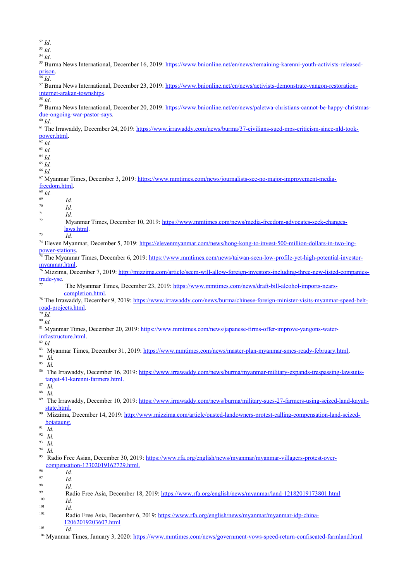- <sup>52</sup> *Id*. <sup>53</sup> *Id*. <sup>54</sup> *Id*. 55 Burma News International, December 16, 2019: [https://www.bnionline.net/en/news/remaining-karenni-youth-activists-released](https://www.bnionline.net/en/news/remaining-karenni-youth-activists-released-prison)[prison](https://www.bnionline.net/en/news/remaining-karenni-youth-activists-released-prison). <sup>56</sup> *Id*. 57 Burma News International, December 23, 2019: [https://www.bnionline.net/en/news/activists-demonstrate-yangon-restoration](https://www.bnionline.net/en/news/activists-demonstrate-yangon-restoration-internet-arakan-townships)[internet-arakan-townships.](https://www.bnionline.net/en/news/activists-demonstrate-yangon-restoration-internet-arakan-townships)  $\overline{\overline{\phantom{1}}^{58} d}$ . <sup>59</sup> Burma News International, December 20, 2019: [https://www.bnionline.net/en/news/paletwa-christians-cannot-be-happy-christmas](https://www.bnionline.net/en/news/paletwa-christians-cannot-be-happy-christmas-due-ongoing-war-pastor-says)[due-ongoing-war-pastor-says](https://www.bnionline.net/en/news/paletwa-christians-cannot-be-happy-christmas-due-ongoing-war-pastor-says).  $\overline{60}$  *Id.* <sup>61</sup> The Irrawaddy, December 24, 2019: [https://www.irrawaddy.com/news/burma/37-civilians-sued-mps-criticism-since-nld-took](https://www.irrawaddy.com/news/burma/37-civilians-sued-mps-criticism-since-nld-took-power.html)[power.html](https://www.irrawaddy.com/news/burma/37-civilians-sued-mps-criticism-since-nld-took-power.html).  $rac{62}{62}$ *Id.* <sup>63</sup> *Id.* <sup>64</sup> *Id.* <sup>65</sup> *Id.* <sup>66</sup> *Id.* 67 Myanmar Times, December 3, 2019: [https://www.mmtimes.com/news/journalists-see-no-major-improvement-media](https://www.mmtimes.com/news/journalists-see-no-major-improvement-media-freedom.html)[freedom.html.](https://www.mmtimes.com/news/journalists-see-no-major-improvement-media-freedom.html)  $\frac{68}{69}$  *Id.*  $\frac{69}{70}$  *Id.*  $\frac{70}{71}$  *Id.*  $\frac{71}{72}$  *Id.* Myanmar Times, December 10, 2019: [https://www.mmtimes.com/news/media-freedom-advocates-seek-changes](https://www.mmtimes.com/news/media-freedom-advocates-seek-changes-laws.html)[laws.html](https://www.mmtimes.com/news/media-freedom-advocates-seek-changes-laws.html). <sup>73</sup> *Id.* 74 Eleven Myanmar, December 5, 2019: [https://elevenmyanmar.com/news/hong-kong-to-invest-500-million-dollars-in-two-lng](https://elevenmyanmar.com/news/hong-kong-to-invest-500-million-dollars-in-two-lng-power-stations)[power-stations.](https://elevenmyanmar.com/news/hong-kong-to-invest-500-million-dollars-in-two-lng-power-stations) The Myanmar Times, December 6, 2019: [https://www.mmtimes.com/news/taiwan-seen-low-profile-yet-high-potential-investor](https://www.mmtimes.com/news/taiwan-seen-low-profile-yet-high-potential-investor-myanmar.html)[myanmar.html.](https://www.mmtimes.com/news/taiwan-seen-low-profile-yet-high-potential-investor-myanmar.html) <sup>76</sup> Mizzima, December 7, 2019: [http://mizzima.com/article/secm-will-allow-foreign-investors-including-three-new-listed-companies](http://mizzima.com/article/secm-will-allow-foreign-investors-including-three-new-listed-companies-trade-yse)[trade-yse.](http://mizzima.com/article/secm-will-allow-foreign-investors-including-three-new-listed-companies-trade-yse) 77 The Myanmar Times, December 23, 2019: [https://www.mmtimes.com/news/draft-bill-alcohol-imports-nears](https://www.mmtimes.com/news/draft-bill-alcohol-imports-nears-completion.html)[completion.html](https://www.mmtimes.com/news/draft-bill-alcohol-imports-nears-completion.html). <sup>78</sup> The Irrawaddy, December 9, 2019: [https://www.irrawaddy.com/news/burma/chinese-foreign-minister-visits-myanmar-speed-belt](https://www.irrawaddy.com/news/burma/chinese-foreign-minister-visits-myanmar-speed-belt-road-projects.html)[road-projects.html](https://www.irrawaddy.com/news/burma/chinese-foreign-minister-visits-myanmar-speed-belt-road-projects.html). <sup>79</sup> *Id.* <sup>80</sup> *Id.* <sup>81</sup> Myanmar Times, December 20, 2019: [https://www.mmtimes.com/news/japanese-firms-offer-improve-yangons-water](https://www.mmtimes.com/news/japanese-firms-offer-improve-yangons-water-infrastructure.html)[infrastructure.html](https://www.mmtimes.com/news/japanese-firms-offer-improve-yangons-water-infrastructure.html). <sup>82</sup> *Id.* 83 Myanmar Times, December 31, 2019: [https://www.mmtimes.com/news/master-plan-myanmar-smes-ready-february.html.](https://www.mmtimes.com/news/master-plan-myanmar-smes-ready-february.html) <sup>84</sup> *Id.* <sup>85</sup> *Id.* 86 The Irrawaddy, December 16, 2019: [https://www.irrawaddy.com/news/burma/myanmar-military-expands-trespassing-lawsuits](https://www.irrawaddy.com/news/burma/myanmar-military-expands-trespassing-lawsuits-target-41-karenni-farmers.html)  [target-41-karenni-farmers.html](https://www.irrawaddy.com/news/burma/myanmar-military-expands-trespassing-lawsuits-target-41-karenni-farmers.html). <sup>87</sup> *Id.*  $rac{88}{89}$  *Id.* <sup>89</sup> The Irrawaddy, December 10, 2019: [https://www.irrawaddy.com/news/burma/military-sues-27-farmers-using-seized-land-kayah](https://www.irrawaddy.com/news/burma/military-sues-27-farmers-using-seized-land-kayah-state.html)  [state.html](https://www.irrawaddy.com/news/burma/military-sues-27-farmers-using-seized-land-kayah-state.html). <sup>90</sup> Mizzima, December 14, 2019: [http://www.mizzima.com/article/ousted-landowners-protest-calling-compensation-land-seized](http://www.mizzima.com/article/ousted-landowners-protest-calling-compensation-land-seized-botataung)  [botataung](http://www.mizzima.com/article/ousted-landowners-protest-calling-compensation-land-seized-botataung).  $\overline{1d}$  $\frac{92}{93}$  *Id.*  $\frac{93}{94}$  *Id.*  $\frac{94}{95}$  *Id.* Radio Free Asian, December 30, 2019: [https://www.rfa.org/english/news/myanmar/myanmar-villagers-protest-over](https://www.rfa.org/english/news/myanmar/myanmar-villagers-protest-over-compensation-12302019162729.html)  [compensation-12302019162729.html.](https://www.rfa.org/english/news/myanmar/myanmar-villagers-protest-over-compensation-12302019162729.html)  $\frac{96}{97}$  *Id.*  $\frac{97}{98}$  *Id.*  $\frac{98}{99}$  *Id.* 99 Radio Free Asia, December 18, 2019:<https://www.rfa.org/english/news/myanmar/land-12182019173801.html><br>100  $\frac{100}{101}$  *Id.*  $\frac{101}{102}$  *Id.* Radio Free Asia, December 6, 2019: [https://www.rfa.org/english/news/myanmar/myanmar-idp-china-](https://www.rfa.org/english/news/myanmar/myanmar-idp-china-12062019203607.html)
- [12062019203607.html](https://www.rfa.org/english/news/myanmar/myanmar-idp-china-12062019203607.html)
- $\frac{103}{Id.}$
- <sup>104</sup> Myanmar Times, January 3, 2020: <https://www.mmtimes.com/news/government-vows-speed-return-confiscated-farmland.html>